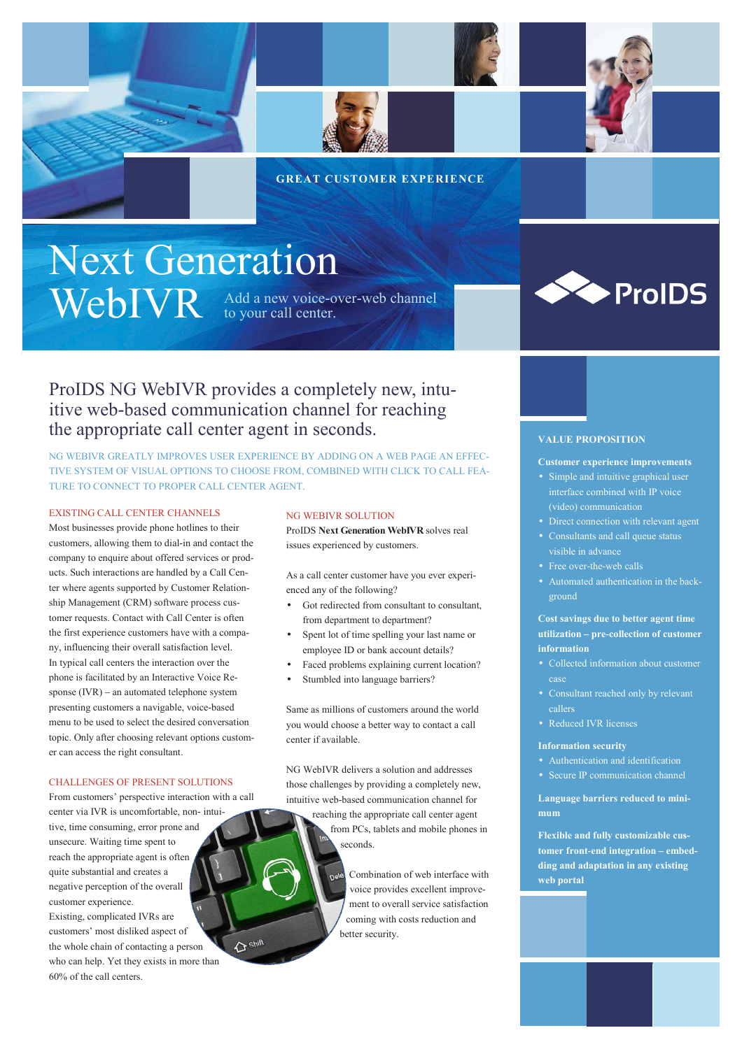

### **GREAT CUSTOMER EXPERIENCE**

# Next Generation WebIVR Add a new voice-over-web channel

ProIDS NG WebIVR provides a completely new, intuitive web-based communication channel for reaching the appropriate call center agent in seconds.

NG WEBIVR GREATLY IMPROVES USER EXPERIENCE BY ADDING ON A WEB PAGE AN EFFEC-TIVE SYSTEM OF VISUAL OPTIONS TO CHOOSE FROM, COMBINED WITH CLICK TO CALL FEA-TURE TO CONNECT TO PROPER CALL CENTER AGENT.

#### EXISTING CALL CENTER CHANNELS

Most businesses provide phone hotlines to their customers, allowing them to dial-in and contact the company to enquire about offered services or products. Such interactions are handled by a Call Center where agents supported by Customer Relationship Management (CRM) software process customer requests. Contact with Call Center is often the first experience customers have with a company, influencing their overall satisfaction level. In typical call centers the interaction over the phone is facilitated by an Interactive Voice Response (IVR) – an automated telephone system presenting customers a navigable, voice-based menu to be used to select the desired conversation topic. Only after choosing relevant options customer can access the right consultant.

#### CHALLENGES OF PRESENT SOLUTIONS

From customers' perspective interaction with a call center via IVR is uncomfortable, non- intuitive, time consuming, error prone and unsecure. Waiting time spent to reach the appropriate agent is often quite substantial and creates a negative perception of the overall customer experience. Existing, complicated IVRs are customers' most disliked aspect of  $\Delta$  shift the whole chain of contacting a person who can help. Yet they exists in more than 60% of the call centers.

#### NG WEBIVR SOLUTION

ProIDS **Next Generation WebIVR** solves real issues experienced by customers.

As a call center customer have you ever experienced any of the following?

- Got redirected from consultant to consultant, from department to department?
- Spent lot of time spelling your last name or employee ID or bank account details?
- Faced problems explaining current location?
- Stumbled into language barriers?

Same as millions of customers around the world you would choose a better way to contact a call center if available.

NG WebIVR delivers a solution and addresses those challenges by providing a completely new, intuitive web-based communication channel for reaching the appropriate call center agent from PCs, tablets and mobile phones in seconds.

> Combination of web interface with voice provides excellent improvement to overall service satisfaction coming with costs reduction and better security.



#### **VALUE PROPOSITION**

#### **Customer experience improvements**

- Simple and intuitive graphical user interface combined with IP voice (video) communication
- Direct connection with relevant agent
- Consultants and call queue status
- visible in advance
- Free over-the-web calls
- Automated authentication in the background

#### **Cost savings due to better agent time utilization – pre-collection of customer information**

- Collected information about customer
- Consultant reached only by relevant callers
- Reduced IVR licenses

#### **Information security**

- 
- Secure IP communication channel

**Language barriers reduced to minimum**

**Flexible and fully customizable customer front-end integration – embedding and adaptation in any existing web portal**